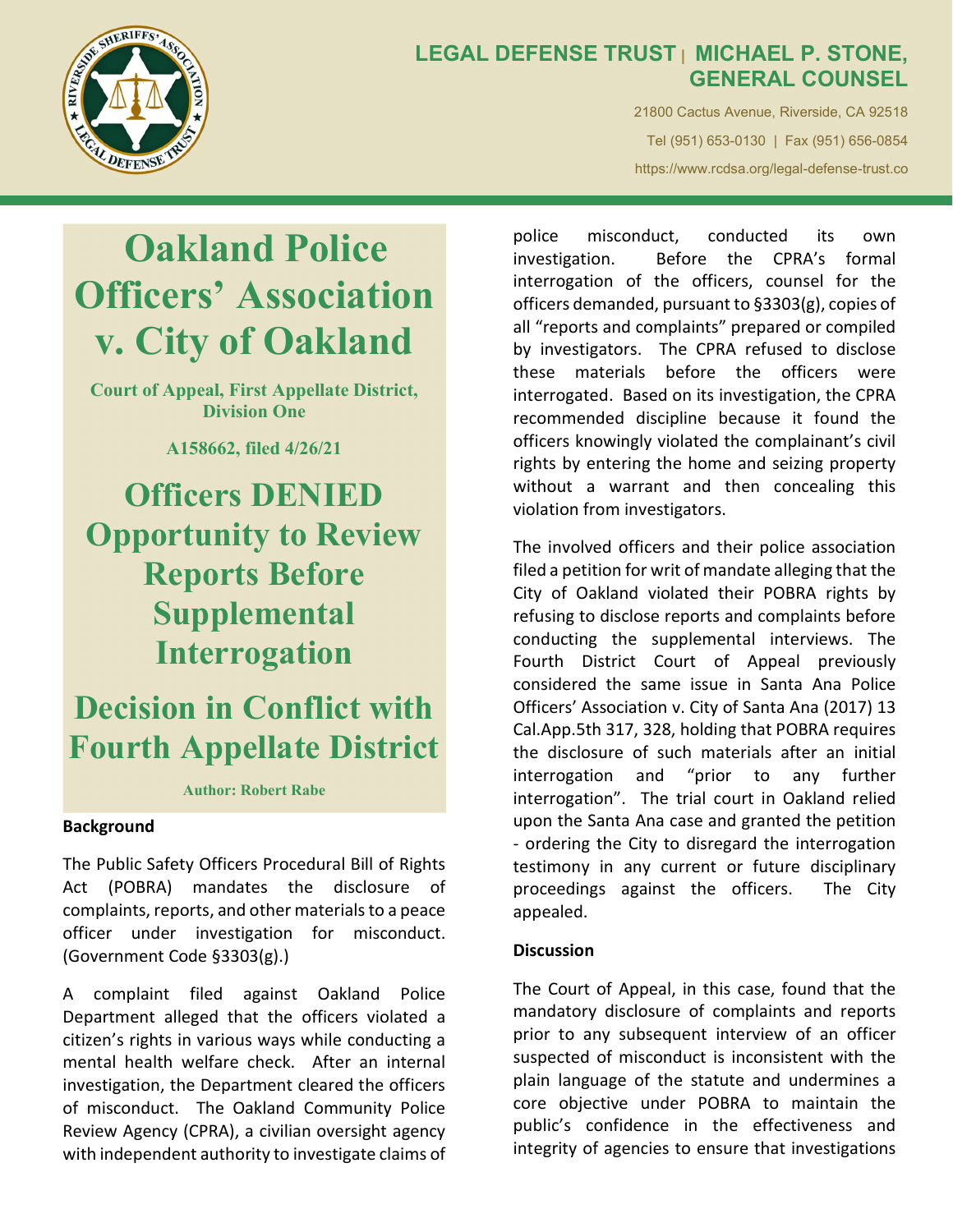

## LEGAL DEFENSE TRUST | MICHAEL P. STONE, GENERAL COUNSEL

21800 Cactus Avenue, Riverside, CA 92518 Tel (951) 653-0130 | Fax (951) 656-0854 https://www.rcdsa.org/legal-defense-trust.co

# Oakland Police Officers' Association v. City of Oakland

Court of Appeal, First Appellate District, Division One

A158662, filed 4/26/21

Officers DENIED Opportunity to Review Reports Before Supplemental Interrogation

Decision in Conflict with Fourth Appellate District

Author: Robert Rabe

## Background

The Public Safety Officers Procedural Bill of Rights Act (POBRA) mandates the disclosure of complaints, reports, and other materials to a peace officer under investigation for misconduct. (Government Code §3303(g).)

A complaint filed against Oakland Police Department alleged that the officers violated a citizen's rights in various ways while conducting a mental health welfare check. After an internal investigation, the Department cleared the officers of misconduct. The Oakland Community Police Review Agency (CPRA), a civilian oversight agency with independent authority to investigate claims of

police misconduct, conducted its own investigation. Before the CPRA's formal interrogation of the officers, counsel for the officers demanded, pursuant to §3303(g), copies of all "reports and complaints" prepared or compiled by investigators. The CPRA refused to disclose these materials before the officers were interrogated. Based on its investigation, the CPRA recommended discipline because it found the officers knowingly violated the complainant's civil rights by entering the home and seizing property without a warrant and then concealing this violation from investigators.

The involved officers and their police association filed a petition for writ of mandate alleging that the City of Oakland violated their POBRA rights by refusing to disclose reports and complaints before conducting the supplemental interviews. The Fourth District Court of Appeal previously considered the same issue in Santa Ana Police Officers' Association v. City of Santa Ana (2017) 13 Cal.App.5th 317, 328, holding that POBRA requires the disclosure of such materials after an initial interrogation and "prior to any further interrogation". The trial court in Oakland relied upon the Santa Ana case and granted the petition - ordering the City to disregard the interrogation testimony in any current or future disciplinary proceedings against the officers. The City appealed.

#### **Discussion**

The Court of Appeal, in this case, found that the mandatory disclosure of complaints and reports prior to any subsequent interview of an officer suspected of misconduct is inconsistent with the plain language of the statute and undermines a core objective under POBRA to maintain the public's confidence in the effectiveness and integrity of agencies to ensure that investigations